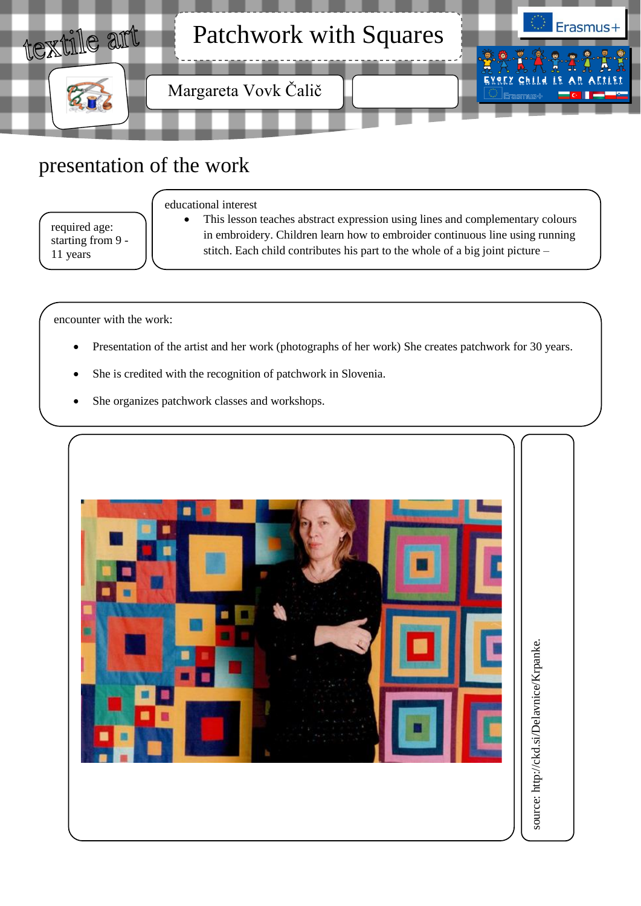

## presentation of the work

required age: starting from 9 - 11 years

#### educational interest

 This lesson teaches abstract expression using lines and complementary colours in embroidery. Children learn how to embroider continuous line using running stitch. Each child contributes his part to the whole of a big joint picture –

encounter with the work:

- Presentation of the artist and her work (photographs of her work) She creates patchwork for 30 years.
- She is credited with the recognition of patchwork in Slovenia.

patchwork.

She organizes patchwork classes and workshops.

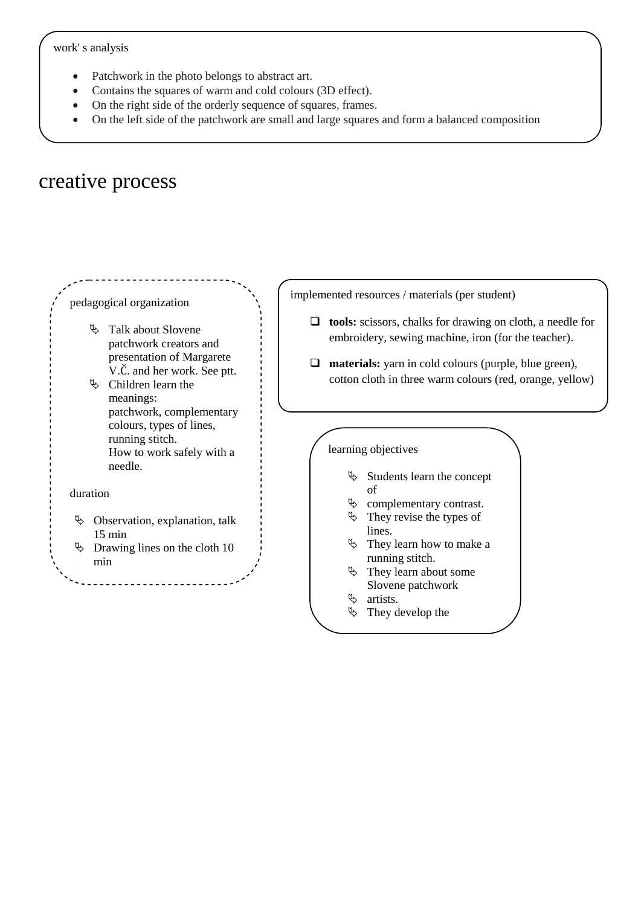- Patchwork in the photo belongs to abstract art.
- Contains the squares of warm and cold colours (3D effect).
- On the right side of the orderly sequence of squares, frames.
- On the left side of the patchwork are small and large squares and form a balanced composition

# creative process



 $\upphi$  They develop the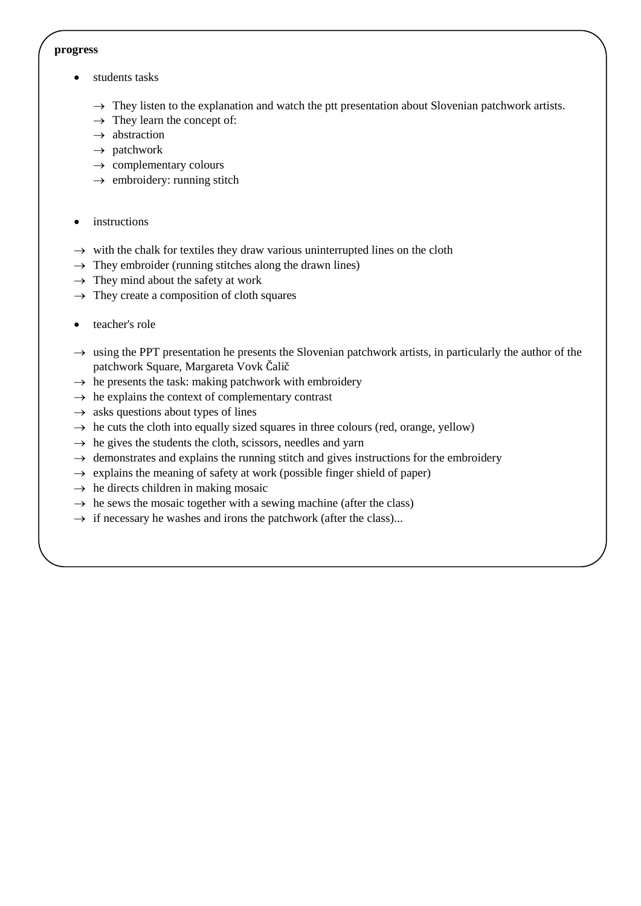#### **progress**

- students tasks
	- $\rightarrow$  They listen to the explanation and watch the ptt presentation about Slovenian patchwork artists.
	- $\rightarrow$  They learn the concept of:
	- $\rightarrow$  abstraction
	- $\rightarrow$  patchwork
	- $\rightarrow$  complementary colours
	- $\rightarrow$  embroidery: running stitch
- instructions
- $\rightarrow$  with the chalk for textiles they draw various uninterrupted lines on the cloth
- $\rightarrow$  They embroider (running stitches along the drawn lines)
- $\rightarrow$  They mind about the safety at work
- $\rightarrow$  They create a composition of cloth squares
- teacher's role
- $\rightarrow$  using the PPT presentation he presents the Slovenian patchwork artists, in particularly the author of the patchwork Square, Margareta Vovk Čalič
- $\rightarrow$  he presents the task: making patchwork with embroidery
- $\rightarrow$  he explains the context of complementary contrast
- $\rightarrow$  asks questions about types of lines
- $\rightarrow$  he cuts the cloth into equally sized squares in three colours (red, orange, yellow)
- $\rightarrow$  he gives the students the cloth, scissors, needles and yarn
- $\rightarrow$  demonstrates and explains the running stitch and gives instructions for the embroidery
- $\rightarrow$  explains the meaning of safety at work (possible finger shield of paper)
- $\rightarrow$  he directs children in making mosaic
- $\rightarrow$  he sews the mosaic together with a sewing machine (after the class)
- $\rightarrow$  if necessary he washes and irons the patchwork (after the class)...